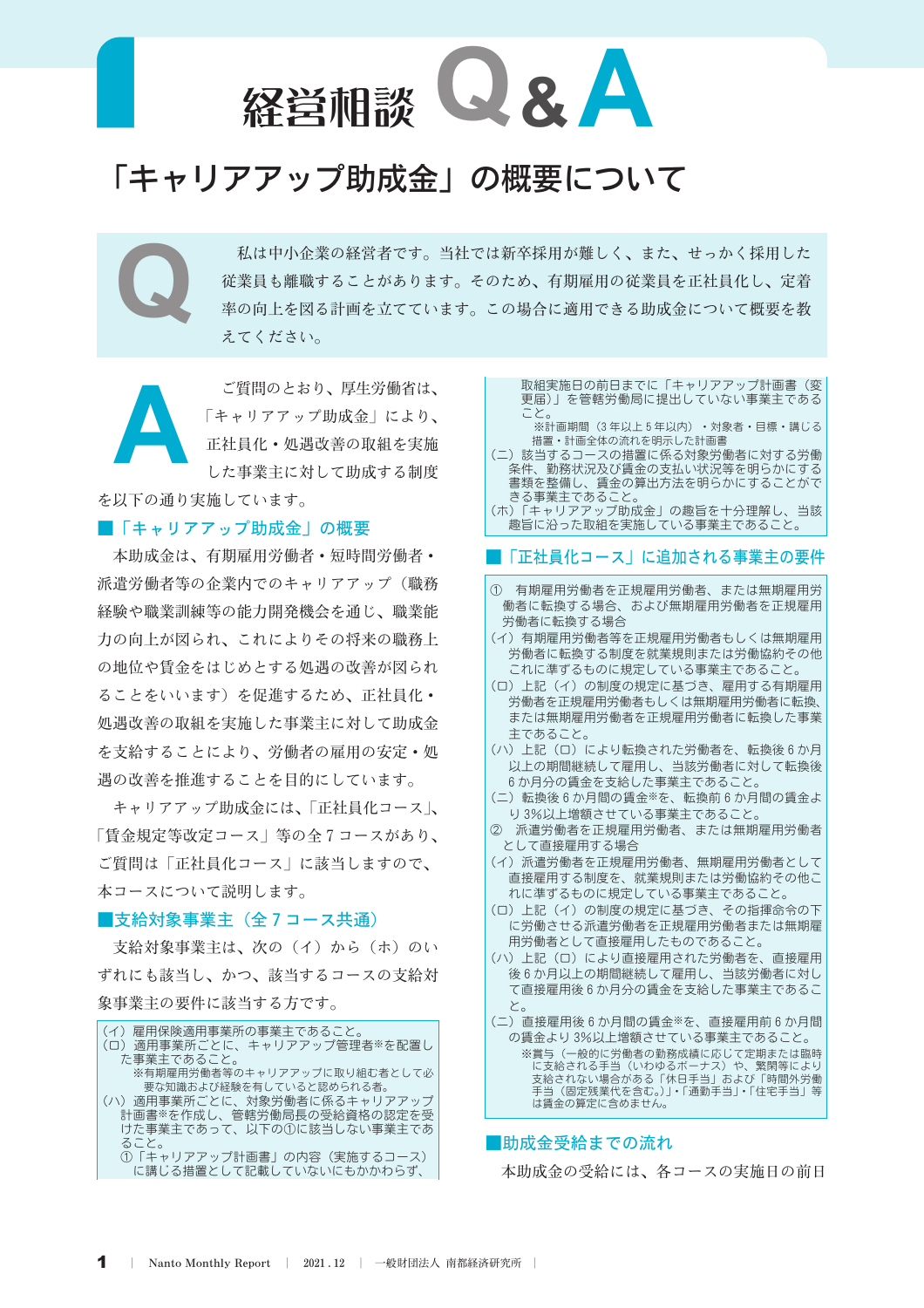

# 「キャリアアップ助成金」の概要について

私は中小企業の経営者です。当社では新卒採用が難しく、また、せっかく採用した 従業員も離職することがあります。そのため、有期雇用の従業員を正社員化し、定着 率の向上を図る計画を立てています。この場合に適用できる助成金について概要を教 えてください。

ご質問のとおり、厚生労働省は、 「キャリアアップ助成金」により、 正社員化·処遇改善の取組を実施 した事業主に対して助成する制度

を以下の通り実施しています。

## ■「キャリアアップ助成金」の概要

本助成金は、有期雇用労働者・短時間労働者・ 派遣労働者等の企業内でのキャリアアップ(職務 経験や職業訓練等の能力開発機会を通じ、職業能 力の向上が図られ、これによりその将来の職務上 の地位や賃金をはじめとする処遇の改善が図られ ることをいいます)を促進するため、正社員化· 処遇改善の取組を実施した事業主に対して助成金 を支給することにより、労働者の雇用の安定・処 遇の改善を推進することを目的にしています。

キャリアアップ助成金には、「正社員化コース」、 「賃金規定等改定コース」等の全7コースがあり、 ご質問は「正社員化コース」に該当しますので、 本コースについて説明します。

## ■支給対象事業主(全7コース共通)

支給対象事業主は、次の(イ)から(ホ)のい ずれにも該当し、かつ、該当するコースの支給対 象事業主の要件に該当する方です。



取組実施日の前日までに「キャリアアップ計画書(変 更届)」を管轄労働局に提出していない事業主である こと。

※計画期間 (3年以上5年以内) · 対象者·目標·講じる 措置・計画全体の流れを明示した計画書

- ) 該当するコースの措置に係る対象労働者に対する労働  $\overline{C}$ 書類を整備し、賃金の算出方法を明らかにすることがで ーースを生産し、スエンジングスティング・ファーニング<br>- さる事業主であること。<br>(ホ)「キャリアアップ助成金」の趣旨を十分理解し、当該

趣旨に沿った取組を実施している事業主であること。

#### ■「正社員化コース」に追加される事業主の要件

- ① 有期雇用労働者を正規雇用労働者、または無期雇用労 働者に転換する場合、および無期雇用労働者を正規雇用 労働者に転換する場合
- (イ) 有期雇用労働者等を正規雇用労働者もしくは無期雇用 労働者に転換する制度を就業規則または労働協約その他 これに準ずるものに規定している事業主であること。
- (ロ) 上記 (イ) の制度の規定に基づき、雇用する有期雇用 労働者を正規雇用労働者もしくは無期雇用労働者に転換、 または無期雇用労働者を正規雇用労働者に転換した事業 主であること。
- (ハ)上記(ロ)により転換された労働者を、転換後6か月 以上の期間継続して雇用し、当該労働者に対して転換後 6か月分の賃金を支給した事業主であること。
- (二) 転換後6か月間の賃金※を、転換前6か月間の賃金よ り3%以上増額させている事業主であること。
- ② 派遣労働者を正規雇用労働者、または無期雇用労働者 として直接雇用する場合
- (イ) 派遣労働者を正規雇用労働者、無期雇用労働者として 直接雇用する制度を、就業規則または労働協約その他こ れに準ずるものに規定している事業主であること。
- (ロ) 上記 (イ) の制度の規定に基づき、その指揮命令の下 に労働させる派遣労働者を正規雇用労働者または無期雇 用労働者として直接雇用したものであること。
- (ハ) 上記 (ロ) により直接雇用された労働者を、直接雇用 後6か月以上の期間継続して雇用し、当該労働者に対し て直接雇用後6か月分の賃金を支給した事業主であるこ と。
- (二) 直接雇用後6か月間の賃金※を、直接雇用前6か月間 の賃金より3%以上増額させている事業主であること。
	- ※賞与(一般的に労働者の勤務成績に応じて定期または臨時<br>に支給される手当(いわゆるボーナス)や、繁閑等により<br>支給されない場合がある「休日手当」および「時間外労働 手当 (固定残業代を含む。)」・「通勤手当」・「住宅手当」等 は賃金の算定に含めません。

## ■助成金受給までの流れ

本助成金の受給には、各コースの実施日の前日